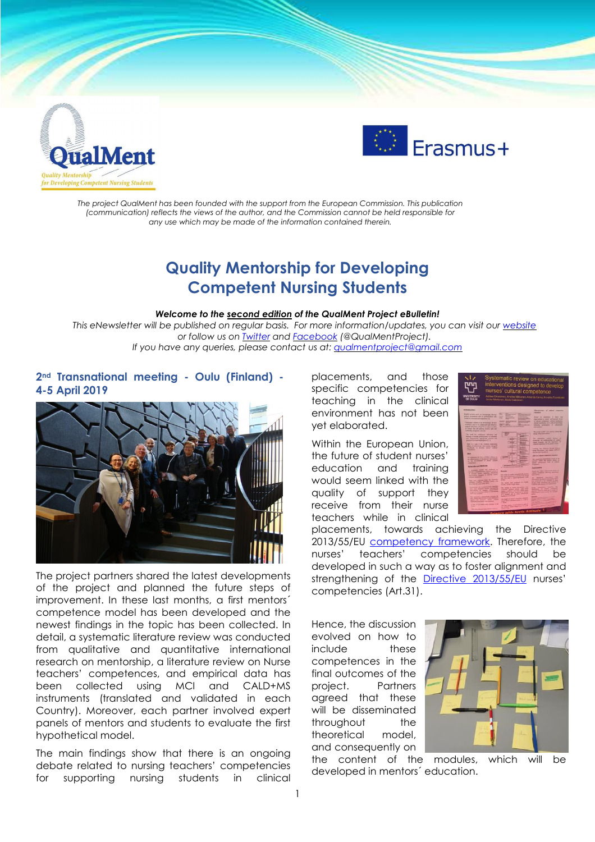



*The project QualMent has been founded with the support from the European Commission. This publication (communication) reflects the views of the author, and the Commission cannot be held responsible for any use which may be made of the information contained therein.*

# **Quality Mentorship for Developing Competent Nursing Students**

#### *Welcome to the second edition of the QualMent Project eBulletin!*

*This eNewsletter will be published on regular basis. For more information/updates, you can visit our [website](http://www.qualment.be/) or follow us on [Twitter](https://twitter.com/QualMentProject) and [Facebook](https://www.facebook.com/QualMentProject/) (@QualMentProject). If you have any queries, please contact us at: [qualmentproject@gmail.com](mailto:qualmentproject@gmail.com)*

### **2nd Transnational meeting - Oulu (Finland) - 4-5 April 2019**



The project partners shared the latest developments of the project and planned the future steps of improvement. In these last months, a first mentors´ competence model has been developed and the newest findings in the topic has been collected. In detail, a systematic literature review was conducted from qualitative and quantitative international research on mentorship, a literature review on Nurse teachers' competences, and empirical data has been collected using MCI and CALD+MS instruments (translated and validated in each Country). Moreover, each partner involved expert panels of mentors and students to evaluate the first hypothetical model.

The main findings show that there is an ongoing debate related to nursing teachers' competencies for supporting nursing students in clinical

placements, and those specific competencies for teaching in the clinical environment has not been yet elaborated.

Within the European Union, the future of student nurses' education and training would seem linked with the quality of support they receive from their nurse teachers while in clinical



placements, towards achieving the Directive 2013/55/EU [competency](http://www.efnweb.be/?page_id=6897) framework. Therefore, the nurses' teachers' competencies should be developed in such a way as to foster alignment and strengthening of the Directive [2013/55/EU](https://eur-lex.europa.eu/legal-content/EN/ALL/?uri=celex%3A32013L0055) nurses' competencies (Art.31).

Hence, the discussion evolved on how to include these competences in the final outcomes of the project. Partners agreed that these will be disseminated throughout the theoretical model, and consequently on



the content of the modules, which will be developed in mentors´ education.